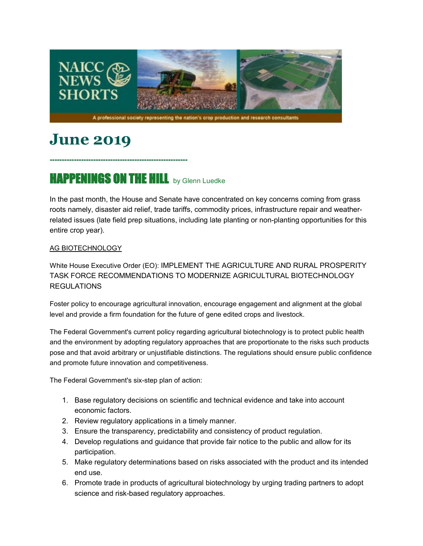

# **June 2019**

## **HAPPENINGS ON THE HILL** by Glenn Luedke

**---------------------------------------------------------**

In the past month, the House and Senate have concentrated on key concerns coming from grass roots namely, disaster aid relief, trade tariffs, commodity prices, infrastructure repair and weatherrelated issues (late field prep situations, including late planting or non-planting opportunities for this entire crop year).

#### AG BIOTECHNOLOGY

White House Executive Order (EO): IMPLEMENT THE AGRICULTURE AND RURAL PROSPERITY TASK FORCE RECOMMENDATIONS TO MODERNIZE AGRICULTURAL BIOTECHNOLOGY **REGULATIONS** 

Foster policy to encourage agricultural innovation, encourage engagement and alignment at the global level and provide a firm foundation for the future of gene edited crops and livestock.

The Federal Government's current policy regarding agricultural biotechnology is to protect public health and the environment by adopting regulatory approaches that are proportionate to the risks such products pose and that avoid arbitrary or unjustifiable distinctions. The regulations should ensure public confidence and promote future innovation and competitiveness.

The Federal Government's six-step plan of action:

- 1. Base regulatory decisions on scientific and technical evidence and take into account economic factors.
- 2. Review regulatory applications in a timely manner.
- 3. Ensure the transparency, predictability and consistency of product regulation.
- 4. Develop regulations and guidance that provide fair notice to the public and allow for its participation.
- 5. Make regulatory determinations based on risks associated with the product and its intended end use.
- 6. Promote trade in products of agricultural biotechnology by urging trading partners to adopt science and risk-based regulatory approaches.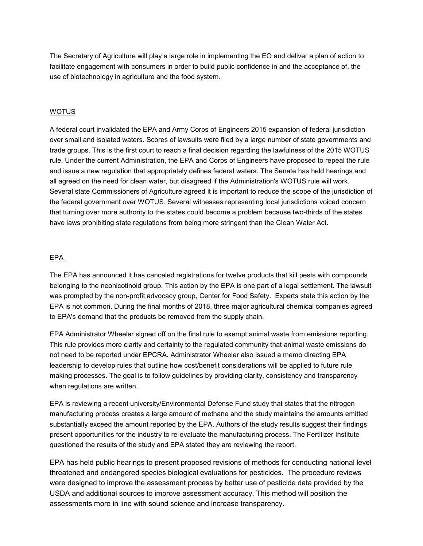The Secretary of Agriculture will play a large role in implementing the EO and deliver a plan of action to facilitate engagement with consumers in order to build public confidence in and the acceptance of, the use of biotechnology in agriculture and the food system.

#### **WOTUS**

A federal court invalidated the EPA and Army Corps of Engineers 2015 expansion of federal jurisdiction over small and isolated waters. Scores of lawsuits were filed by a large number of state governments and trade groups. This is the first court to reach a final decision regarding the lawfulness of the 2015 WOTUS rule. Under the current Administration, the EPA and Corps of Engineers have proposed to repeal the rule and issue a new regulation that appropriately defines federal waters. The Senate has held hearings and all agreed on the need for clean water, but disagreed if the Administration's WOTUS rule will work. Several state Commissioners of Agriculture agreed it is important to reduce the scope of the jurisdiction of the federal government over WOTUS. Several witnesses representing local jurisdictions voiced concern that turning over more authority to the states could become a problem because two-thirds of the states have laws prohibiting state regulations from being more stringent than the Clean Water Act.

#### EPA

The EPA has announced it has canceled registrations for twelve products that kill pests with compounds belonging to the neonicotinoid group. This action by the EPA is one part of a legal settlement. The lawsuit was prompted by the non-profit advocacy group, Center for Food Safety. Experts state this action by the EPA is not common. During the final months of 2018, three major agricultural chemical companies agreed to EPA's demand that the products be removed from the supply chain.

EPA Administrator Wheeler signed off on the final rule to exempt animal waste from emissions reporting. This rule provides more clarity and certainty to the regulated community that animal waste emissions do not need to be reported under EPCRA. Administrator Wheeler also issued a memo directing EPA leadership to develop rules that outline how cost/benefit considerations will be applied to future rule making processes. The goal is to follow guidelines by providing clarity, consistency and transparency when regulations are written.

EPA is reviewing a recent university/Environmental Defense Fund study that states that the nitrogen manufacturing process creates a large amount of methane and the study maintains the amounts emitted substantially exceed the amount reported by the EPA. Authors of the study results suggest their findings present opportunities for the industry to re-evaluate the manufacturing process. The Fertilizer Institute questioned the results of the study and EPA stated they are reviewing the report.

EPA has held public hearings to present proposed revisions of methods for conducting national level threatened and endangered species biological evaluations for pesticides. The procedure reviews were designed to improve the assessment process by better use of pesticide data provided by the USDA and additional sources to improve assessment accuracy. This method will position the assessments more in line with sound science and increase transparency.